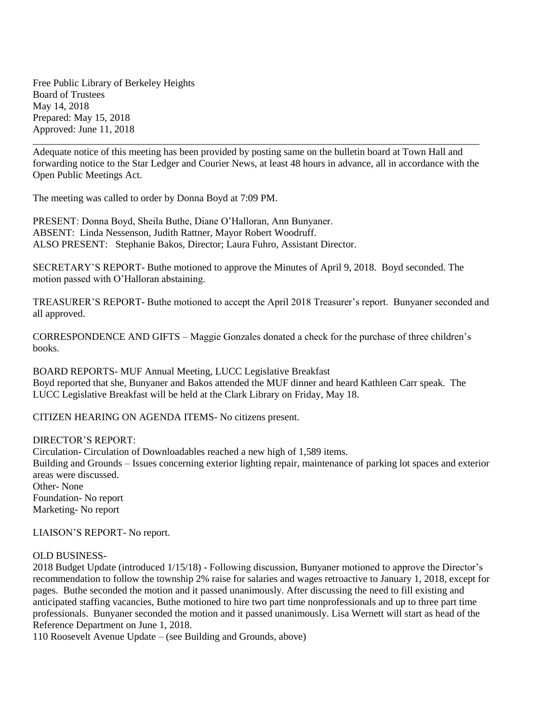Free Public Library of Berkeley Heights Board of Trustees May 14, 2018 Prepared: May 15, 2018 Approved: June 11, 2018

Adequate notice of this meeting has been provided by posting same on the bulletin board at Town Hall and forwarding notice to the Star Ledger and Courier News, at least 48 hours in advance, all in accordance with the Open Public Meetings Act.

\_\_\_\_\_\_\_\_\_\_\_\_\_\_\_\_\_\_\_\_\_\_\_\_\_\_\_\_\_\_\_\_\_\_\_\_\_\_\_\_\_\_\_\_\_\_\_\_\_\_\_\_\_\_\_\_\_\_\_\_\_\_\_\_\_\_\_\_\_\_\_\_\_\_\_\_\_\_\_\_\_\_\_\_\_\_\_\_\_

The meeting was called to order by Donna Boyd at 7:09 PM.

PRESENT: Donna Boyd, Sheila Buthe, Diane O'Halloran, Ann Bunyaner. ABSENT: Linda Nessenson, Judith Rattner, Mayor Robert Woodruff. ALSO PRESENT: Stephanie Bakos, Director; Laura Fuhro, Assistant Director.

SECRETARY'S REPORT- Buthe motioned to approve the Minutes of April 9, 2018. Boyd seconded. The motion passed with O'Halloran abstaining.

TREASURER'S REPORT- Buthe motioned to accept the April 2018 Treasurer's report. Bunyaner seconded and all approved.

CORRESPONDENCE AND GIFTS – Maggie Gonzales donated a check for the purchase of three children's books.

BOARD REPORTS- MUF Annual Meeting, LUCC Legislative Breakfast Boyd reported that she, Bunyaner and Bakos attended the MUF dinner and heard Kathleen Carr speak. The LUCC Legislative Breakfast will be held at the Clark Library on Friday, May 18.

CITIZEN HEARING ON AGENDA ITEMS- No citizens present.

## DIRECTOR'S REPORT:

Circulation- Circulation of Downloadables reached a new high of 1,589 items. Building and Grounds – Issues concerning exterior lighting repair, maintenance of parking lot spaces and exterior areas were discussed. Other- None Foundation- No report Marketing- No report

LIAISON'S REPORT- No report.

## OLD BUSINESS-

2018 Budget Update (introduced 1/15/18) - Following discussion, Bunyaner motioned to approve the Director's recommendation to follow the township 2% raise for salaries and wages retroactive to January 1, 2018, except for pages. Buthe seconded the motion and it passed unanimously. After discussing the need to fill existing and anticipated staffing vacancies, Buthe motioned to hire two part time nonprofessionals and up to three part time professionals. Bunyaner seconded the motion and it passed unanimously. Lisa Wernett will start as head of the Reference Department on June 1, 2018.

110 Roosevelt Avenue Update – (see Building and Grounds, above)